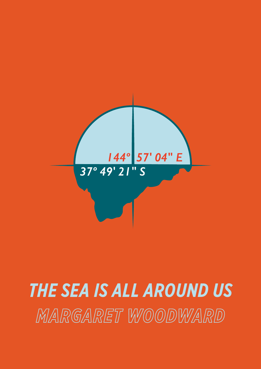

# *THE SEA IS ALL AROUND US THE SEA IS ALL AROUND US*MARGARET WOODWARD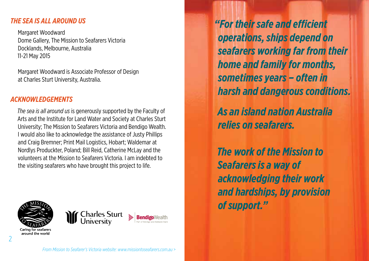#### *THE SEA IS ALL AROUND US*

Margaret Woodward Dome Gallery, The Mission to Seafarers Victoria Docklands, Melbourne, Australia 11-21 May 2015

Margaret Woodward is Associate Professor of Design at Charles Sturt University, Australia.

## *ACKNOWLEDGEMENTS*

*The sea is all around us* is generously supported by the Faculty of Arts and the Institute for Land Water and Society at Charles Sturt University; The Mission to Seafarers Victoria and Bendigo Wealth. I would also like to acknowledge the assistance of Justy Phillips and Craig Bremner; Print Mail Logistics, Hobart; Waldemar at Nordlys Produckter, Poland; Bill Reid, Catherine McLay and the volunteers at the Mission to Seafarers Victoria. I am indebted to the visiting seafarers who have brought this project to life.





*"For their safe and efficient operations, ships depend on seafarers working far from their home and family for months, sometimes years – often in harsh and dangerous conditions.* 

*As an island nation Australia relies on seafarers.* 

*The work of the Mission to Seafarers is a way of acknowledging their work and hardships, by provision of support."*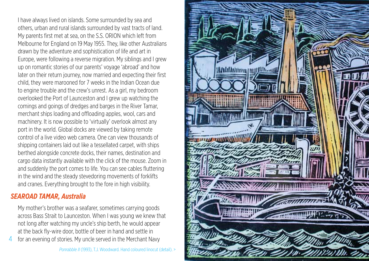I have always lived on islands. Some surrounded by sea and others, urban and rural islands surrounded by vast tracts of land. My parents first met at sea, on the S.S. ORION which left from Melbourne for England on 19 May 1955. They, like other Australians drawn by the adventure and sophistication of life and art in Europe, were following a reverse migration. My siblings and I grew up on romantic stories of our parents' voyage 'abroad' and how later on their return journey, now married and expecting their first child, they were marooned for 7 weeks in the Indian Ocean due to engine trouble and the crew's unrest. As a girl, my bedroom overlooked the Port of Launceston and I grew up watching the comings and goings of dredges and barges in the River Tamar, merchant ships loading and offloading apples, wool, cars and machinery. It is now possible to 'virtually' overlook almost any port in the world. Global docks are viewed by taking remote control of a live video web camera. One can view thousands of shipping containers laid out like a tessellated carpet, with ships berthed alongside concrete docks, their names, destination and cargo data instantly available with the click of the mouse. Zoom in and suddenly the port comes to life. You can see cables fluttering in the wind and the steady stevedoring movements of forklifts and cranes. Everything brought to the fore in high visibility.

# *SEAROAD TAMAR, Australia*

My mother's brother was a seafarer, sometimes carrying goods across Bass Strait to Launceston. When I was young we knew that not long after watching my uncle's ship berth, he would appear at the back fly-wire door, bottle of beer in hand and settle in

for an evening of stories. My uncle served in the Merchant Navy 4

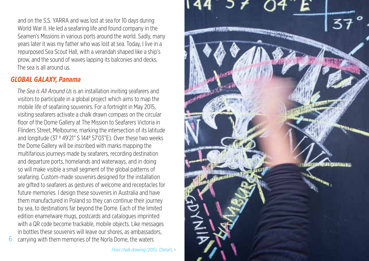and on the S.S. YARRA and was lost at sea for 10 days during World War II. He led a seafaring life and found company in the Seamen's Missions in various ports around the world. Sadly, many years later it was my father who was lost at sea. Today, I live in a repurposed Sea Scout Hall, with a verandah shaped like a ship's prow, and the sound of waves lapping its balconies and decks. The sea is all around us.

# *GLOBAL GALAXY, Panama*

*The Sea is All Around Us* is an installation inviting seafarers and visitors to participate in a global project which aims to map the mobile life of seafaring souvenirs. For a fortnight in May 2015, visiting seafarers activate a chalk drawn compass on the circular floor of the Dome Gallery at The Mission to Seafarers Victoria in Flinders Street, Melbourne, marking the intersection of its latitude and longitude (37 º 49'21" S 144º 57'03"E). Over these two weeks the Dome Gallery will be inscribed with marks mapping the multifarious journeys made by seafarers, recording destination and departure ports, homelands and waterways, and in doing so will make visible a small segment of the global patterns of seafaring. Custom-made souvenirs designed for the installation are gifted to seafarers as gestures of welcome and receptacles for future memories. I design these souvenirs in Australia and have them manufactured in Poland so they can continue their journey by sea, to destinations far beyond the Dome. Each of the limited edition enamelware mugs, postcards and catalogues imprinted with a QR code become trackable, mobile objects. Like messages in bottles these souvenirs will leave our shores, as ambassadors, carrying with them memories of the Norla Dome, the waters

*Floor chalk drawing* (2015). (Detail). >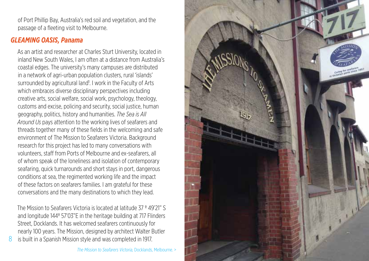of Port Phillip Bay, Australia's red soil and vegetation, and the passage of a fleeting visit to Melbourne.

## *GLEAMING OASIS, Panama*

As an artist and researcher at Charles Sturt University, located in inland New South Wales, I am often at a distance from Australia's coastal edges. The university's many campuses are distributed in a network of agri-urban population clusters, rural 'islands' surrounded by agricultural land<sup>1</sup>. I work in the Faculty of Arts which embraces diverse disciplinary perspectives including creative arts, social welfare, social work, psychology, theology, customs and excise, policing and security, social justice, human geography, politics, history and humanities. *The Sea is All Around Us* pays attention to the working lives of seafarers and threads together many of these fields in the welcoming and safe environment of The Mission to Seafarers Victoria. Background research for this project has led to many conversations with volunteers, staff from Ports of Melbourne and ex-seafarers, all of whom speak of the loneliness and isolation of contemporary seafaring, quick turnarounds and short stays in port, dangerous conditions at sea, the regimented working life and the impact of these factors on seafarers families. I am grateful for these conversations and the many destinations to which they lead.

The Mission to Seafarers Victoria is located at latitude 37 º 49'21" S and longitude 144º 57'03"E in the heritage building at 717 Flinders Street, Docklands. It has welcomed seafarers continuously for nearly 100 years. The Mission, designed by architect Walter Butler is built in a Spanish Mission style and was completed in 1917.

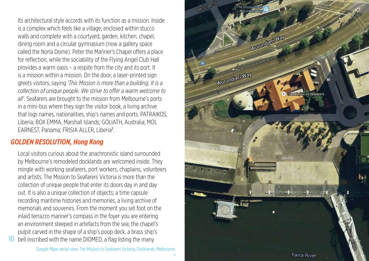Its architectural style accords with its function as a mission. Inside is a complex which feels like a village, enclosed within stucco walls and complete with a courtyard, garden, kitchen, chapel, dining room and a circular gymnasium (now a gallery space called the Norla Dome). Peter the Mariner's Chapel offers a place for reflection, while the sociability of the Flying Angel Club Hall provides a warm oasis – a respite from the city and its port. It is a mission within a mission. On the door, a laser-printed sign greets visitors, saying *'This Mission is more than a building. It is a collection of unique people. We strive to offer a warm welcome to all'*. Seafarers are brought to the mission from Melbourne's ports in a mini-bus where they sign the visitor book, a living archive that logs names, nationalities, ship's names and ports. PATRAIKOS, Liberia; BOX EMMA, Marshall Islands; GOLIATH, Australia; MOL EARNEST, Panama; FRISIA ALLER, Liberia<sup>2</sup>.

## *GOLDEN RESOLUTION, Hong Kong*

Local visitors curious about the anachronistic island surrounded by Melbourne's remodeled docklands are welcomed inside. They mingle with working seafarers, port workers, chaplains, volunteers and artists. The Mission to Seafarers Victoria is more than the collection of unique people that enter its doors day in and day out. It is also a unique collection of objects; a time capsule recording maritime histories and memories, a living archive of memorials and souvenirs. From the moment you set foot on the inlaid terrazzo mariner's compass in the foyer you are entering an environment steeped in artefacts from the sea; the chapel's pulpit carved in the shape of a ship's poop deck, a brass ship's 10 bell inscribed with the name DIOMED, a flag listing the many

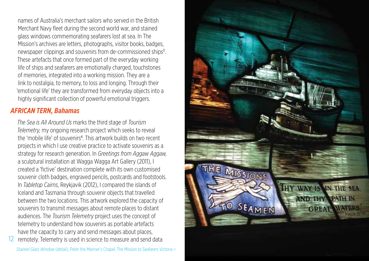names of Australia's merchant sailors who served in the British Merchant Navy fleet during the second world war, and stained glass windows commemorating seafarers lost at sea. In The Mission's archives are letters, photographs, visitor books, badges, newspaper clippings and souvenirs from de-commissioned ships<sup>3</sup>. These artefacts that once formed part of the everyday working life of ships and seafarers are emotionally charged, touchstones of memories, integrated into a working mission. They are a link to nostalgia, to memory, to loss and longing. Through their 'emotional life' they are transformed from everyday objects into a highly significant collection of powerful emotional triggers.

## *AFRICAN TERN, Bahamas*

*The Sea is All Around Us* marks the third stage of *Tourism Telemetry,* my ongoing research project which seeks to reveal the 'mobile life' of souvenirs<sup>4</sup>. This artwork builds on two recent projects in which I use creative practice to activate souvenirs as a strategy for research generation. In *Greetings from Aggaw Aggaw,* a sculptural installation at Wagga Wagga Art Gallery (2011), I created a 'fictive' destination complete with its own customised souvenir cloth badges, engraved pencils, postcards and footstools. In *Tabletop Cairns*, Reykjavik (2012), I compared the islands of Iceland and Tasmania through souvenir objects that travelled between the two locations. This artwork explored the capacity of souvenirs to transmit messages about remote places to distant audiences. The *Tourism Telemetry* project uses the concept of telemetry to understand how souvenirs as portable artefacts have the capacity to carry and send messages about places,

*Stained Glass Window* (detail), Peter the Mariner's Chapel, The Mission to Seafarers Victoria *>* 12 remotely. Telemetry is used in science to measure and send data

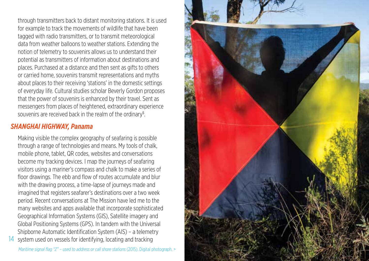through transmitters back to distant monitoring stations. It is used for example to track the movements of wildlife that have been tagged with radio transmitters, or to transmit meteorological data from weather balloons to weather stations. Extending the notion of telemetry to souvenirs allows us to understand their potential as transmitters of information about destinations and places. Purchased at a distance and then sent as gifts to others or carried home, souvenirs transmit representations and myths about places to their receiving 'stations' in the domestic settings of everyday life. Cultural studies scholar Beverly Gordon proposes that the power of souvenirs is enhanced by their travel. Sent as messengers from places of heightened, extraordinary experience souvenirs are received back in the realm of the ordinary<sup>5</sup>.

#### *SHANGHAI HIGHWAY, Panama*

Making visible the complex geography of seafaring is possible through a range of technologies and means. My tools of chalk, mobile phone, tablet, QR codes, websites and conversations become my tracking devices. I map the journeys of seafaring visitors using a mariner's compass and chalk to make a series of floor drawings. The ebb and flow of routes accumulate and blur with the drawing process, a time-lapse of journeys made and imagined that registers seafarer's destinations over a two week period. Recent conversations at The Mission have led me to the many websites and apps available that incorporate sophisticated Geographical Information Systems (GIS), Satellite imagery and Global Positioning Systems (GPS). In tandem with the Universal Shipborne Automatic Identification System (AIS) – a telemetry system used on vessels for identifying, locating and tracking

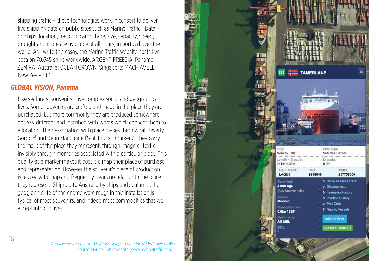shipping traffic – these technologies work in consort to deliver live shipping data on public sites such as Marine Traffic<sup>6</sup>. Data on ships' location, tracking, cargo, type, size, capacity, speed, draught and more are available at all hours, in ports all over the world. As I write this essay, the Marine Traffic website hosts live data on 70,645 ships worldwide. ARGENT FREESIA, Panama; ZEMIRA, Australia; OCEAN CROWN, Singapore; MACHIAVELLI, New Zealand.<sup>7</sup>

## *GLOBAL VISION, Panama*

Like seafarers, souvenirs have complex social and geographical lives. Some souvenirs are crafted and made in the place they are purchased, but more commonly they are produced somewhere entirely different and inscribed with words which connect them to a location. Their association with place makes them what Beverly Gordon<sup>8</sup> and Dean MacCannell<sup>9</sup> call tourist 'markers'. They carry the mark of the place they represent, through image or text or invisibly through memories associated with a particular place. This quality as a marker makes it possible map their place of purchase and representation. However the souvenir's place of production is less easy to map and frequently bears no relation to the place they represent. Shipped to Australia by ships and seafarers, the geographic life of the enamelware mugs in this installation is typical of most souvenirs, and indeed most commodities that we accept into our lives.

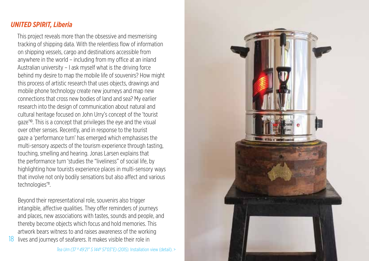## *UNITED SPIRIT, Liberia*

This project reveals more than the obsessive and mesmerising tracking of shipping data. With the relentless flow of information on shipping vessels, cargo and destinations accessible from anywhere in the world – including from my office at an inland Australian university – I ask myself what is the driving force behind my desire to map the mobile life of souvenirs? How might this process of artistic research that uses objects, drawings and mobile phone technology create new journeys and map new connections that cross new bodies of land and sea? My earlier research into the design of communication about natural and cultural heritage focused on John Urry's concept of the 'tourist gaze'10. This is a concept that privileges the eye and the visual over other senses. Recently, and in response to the tourist gaze a 'performance turn' has emerged which emphasises the multi-sensory aspects of the tourism experience through tasting, touching, smelling and hearing. Jonas Larsen explains that the performance turn 'studies the "liveliness" of social life, by highlighting how tourists experience places in multi-sensory ways that involve not only bodily sensations but also affect and various technologies'<sup>11</sup>.

Beyond their representational role, souvenirs also trigger intangible, affective qualities. They offer reminders of journeys and places, new associations with tastes, sounds and people, and thereby become objects which focus and hold memories. This artwork bears witness to and raises awareness of the working 18 lives and journeys of seafarers. It makes visible their role in

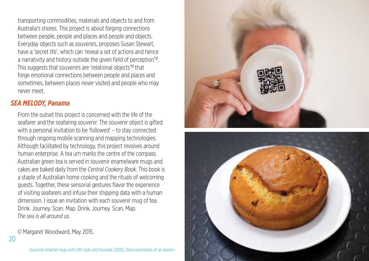transporting commodities, materials and objects to and from Australia's shores. This project is about forging connections between people, people and places and people and objects. Everyday objects such as souvenirs, proposes Susan Stewart, have a 'secret life', which can 'reveal a set of actions and hence a narrativity and history outside the given field of perception'12. This suggests that souvenirs are 'relational objects'13 that forge emotional connections between people and places and sometimes, between places never visited and people who may never meet.

#### *SEA MELODY, Panama*

From the outset this project is concerned with the life of the seafarer and the seafaring souvenir. The souvenir object is gifted with a personal invitation to be 'followed' – to stay connected through ongoing mobile scanning and mapping technologies. Although facilitated by technology, this project revolves around human enterprise. A tea urn marks the centre of the compass. Australian green tea is served in souvenir enamelware mugs and cakes are baked daily from the *Central Cookery Book*. This book is a staple of Australian home cooking and the rituals of welcoming guests. Together, these sensorial gestures flavor the experience of visiting seafarers and infuse their shipping data with a human dimension. I issue an invitation with each souvenir mug of tea. Drink. Journey. Scan. Map. Drink. Journey. Scan. Map. *The sea is all around us.*

© Margaret Woodward, May 2015.



20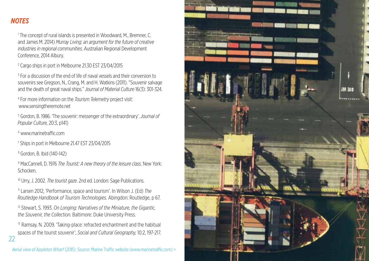## *NOTES*

<sup>1</sup> The concept of rural islands is presented in Woodward, M., Bremner, C. and James M. 2014) *Murray Living: an argument for the future of creative industries in regional communities*. Australian Regional Development Conference, 2014 Albury.

2 Cargo ships in port in Melbourne 21.30 EST 23/04/2015

<sup>3</sup> For a discussion of the end of life of naval vessels and their conversion to souvenirs see Gregson, N., Crang, M. and H. Watkins (2011). "Souvenir salvage and the death of great naval ships." *Journal of Material Culture* 16(3): 301-324.

4 For more information on the *Tourism Telemetry* project visit: www.sensingtheremote.net

5 Gordon, B. 1986. 'The souvenir: messenger of the extraordinary'. *Journal of Popular Culture,* 20:3, p141)

6 www.marinetraffic.com

7 Ships in port in Melbourne 21.47 EST 23/04/2015

8 Gordon, B. Ibid (140-142)

22

9 MacCannell, D. 1976 *The Tourist: A new theory of the leisure class*. New York: Schocken.

10 Urry, J. 2002. *The tourist gaze*. 2nd ed. London: Sage Publications.

11 Larsen 2012, 'Performance, space and tourism'. In Wilson J. (Ed) *The Routledge Handbook of Tourism Technologies.* Abingdon: Routledge, p 67.

12 Stewart, S. 1993. *On Longing: Narratives of the Miniature, the Gigantic, the Souvenir, the Collection.* Baltimore: Duke University Press.

<sup>13</sup> Ramsay, N. 2009. 'Taking-place: refracted enchantment and the habitual spaces of the tourist souvenir', *Social and Cultural Geography,* 10:2, 197-217.